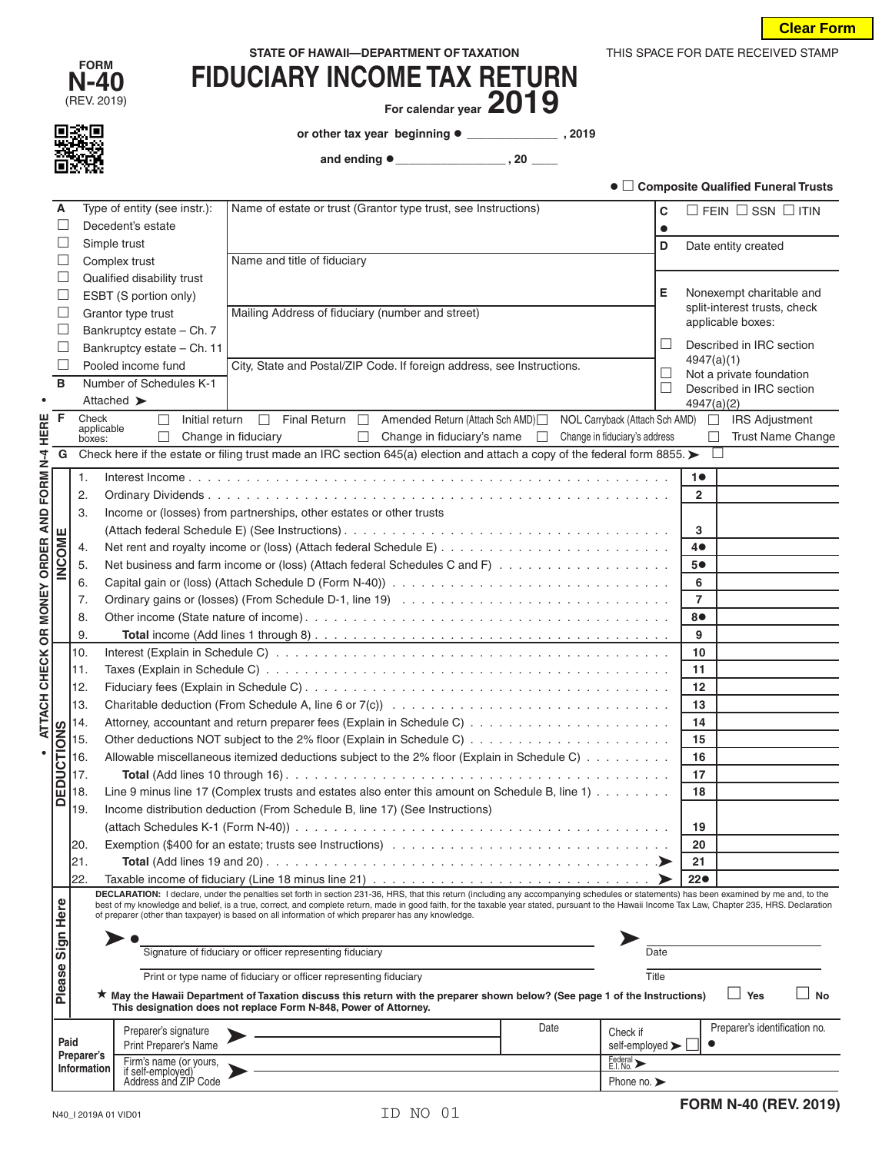THIS SPACE FOR DATE RECEIVED STAMP

| <b>FORM</b><br><b>N-40</b> | <b>FIDUCIARY INCOME TAX RETURN</b> |
|----------------------------|------------------------------------|
| (REV. 2019)                | For calendar vear $2019$           |

For calendar year **ZUI** 

**or other tax year beginning \_\_\_\_\_\_\_\_\_\_\_\_\_\_ , 2019**

 **and ending \_\_\_\_\_\_\_\_\_\_\_\_\_\_\_\_\_ , 20 \_\_\_\_**

|                          |                           |                                           |                                                                                                                                                                                                                                                                                                       |                                 |        |                | ● □ Composite Qualified Funeral Trusts |
|--------------------------|---------------------------|-------------------------------------------|-------------------------------------------------------------------------------------------------------------------------------------------------------------------------------------------------------------------------------------------------------------------------------------------------------|---------------------------------|--------|----------------|----------------------------------------|
| A                        |                           | Type of entity (see instr.):              | Name of estate or trust (Grantor type trust, see Instructions)                                                                                                                                                                                                                                        |                                 | С      |                | $\Box$ FEIN $\Box$ SSN $\Box$ ITIN     |
| L                        |                           | Decedent's estate                         |                                                                                                                                                                                                                                                                                                       |                                 |        |                |                                        |
| Ш                        |                           | Simple trust                              |                                                                                                                                                                                                                                                                                                       |                                 | D      |                | Date entity created                    |
| Ш                        |                           | Complex trust                             | Name and title of fiduciary                                                                                                                                                                                                                                                                           |                                 |        |                |                                        |
| Ш                        |                           | Qualified disability trust                |                                                                                                                                                                                                                                                                                                       |                                 |        |                |                                        |
| Ш                        |                           | ESBT (S portion only)                     |                                                                                                                                                                                                                                                                                                       |                                 | Е      |                | Nonexempt charitable and               |
| $\overline{\phantom{a}}$ |                           | Grantor type trust                        | Mailing Address of fiduciary (number and street)                                                                                                                                                                                                                                                      |                                 |        |                | split-interest trusts, check           |
| $\Box$                   |                           | Bankruptcy estate - Ch. 7                 |                                                                                                                                                                                                                                                                                                       |                                 |        |                | applicable boxes:                      |
| $\Box$                   |                           | Bankruptcy estate - Ch. 11                |                                                                                                                                                                                                                                                                                                       |                                 | ⊔      |                | Described in IRC section               |
| $\overline{a}$           |                           | Pooled income fund                        | City, State and Postal/ZIP Code. If foreign address, see Instructions.                                                                                                                                                                                                                                |                                 |        | 4947(a)(1)     |                                        |
| B                        |                           | Number of Schedules K-1                   |                                                                                                                                                                                                                                                                                                       |                                 | $\Box$ |                | Not a private foundation               |
| $\bullet$                |                           | Attached >                                |                                                                                                                                                                                                                                                                                                       |                                 | $\Box$ | 4947(a)(2)     | Described in IRC section               |
| F                        | Check                     | Initial return<br>□                       | Final Return $\Box$<br>Amended Return (Attach Sch AMD)<br>П                                                                                                                                                                                                                                           | NOL Carryback (Attach Sch AMD)  |        | $\Box$         | <b>IRS Adjustment</b>                  |
|                          | applicable                | L                                         | Change in fiduciary<br>Change in fiduciary's name $\Box$<br>П                                                                                                                                                                                                                                         | Change in fiduciary's address   |        | П              | Trust Name Change                      |
| G                        | boxes:                    |                                           | Check here if the estate or filing trust made an IRC section 645(a) election and attach a copy of the federal form 8855.                                                                                                                                                                              |                                 |        | $\Box$         |                                        |
|                          |                           |                                           |                                                                                                                                                                                                                                                                                                       |                                 |        |                |                                        |
| FORM N-4 HERE            | 1.                        |                                           |                                                                                                                                                                                                                                                                                                       |                                 |        | 10             |                                        |
|                          | 2.                        |                                           |                                                                                                                                                                                                                                                                                                       |                                 |        | $\overline{2}$ |                                        |
|                          | 3.                        |                                           | Income or (losses) from partnerships, other estates or other trusts                                                                                                                                                                                                                                   |                                 |        |                |                                        |
| ш                        |                           |                                           |                                                                                                                                                                                                                                                                                                       |                                 |        | 3              |                                        |
|                          | 4.                        |                                           |                                                                                                                                                                                                                                                                                                       |                                 |        | 4●             |                                        |
| INCOM                    | 5.                        |                                           |                                                                                                                                                                                                                                                                                                       |                                 |        | 5●             |                                        |
|                          | 6.                        |                                           |                                                                                                                                                                                                                                                                                                       |                                 |        | 6              |                                        |
|                          | 7.                        |                                           |                                                                                                                                                                                                                                                                                                       |                                 |        | $\overline{7}$ |                                        |
|                          | 8.                        |                                           |                                                                                                                                                                                                                                                                                                       |                                 |        | 8●             |                                        |
| OR MONEY ORDER AND       | 9.                        |                                           |                                                                                                                                                                                                                                                                                                       |                                 |        | 9              |                                        |
|                          | 10.                       |                                           |                                                                                                                                                                                                                                                                                                       |                                 |        | 10             |                                        |
|                          | 11.                       |                                           |                                                                                                                                                                                                                                                                                                       |                                 |        | 11             |                                        |
|                          | 12.                       |                                           |                                                                                                                                                                                                                                                                                                       |                                 |        | 12             |                                        |
|                          | 13.                       |                                           |                                                                                                                                                                                                                                                                                                       |                                 |        | 13             |                                        |
| ATTACH CHECK             | 14.                       |                                           |                                                                                                                                                                                                                                                                                                       |                                 |        | 14             |                                        |
| <b>DEDUCTIONS</b>        | 15.                       |                                           |                                                                                                                                                                                                                                                                                                       |                                 |        | 15             |                                        |
| $\bullet$                | 16.                       |                                           | Allowable miscellaneous itemized deductions subject to the 2% floor (Explain in Schedule C)                                                                                                                                                                                                           |                                 |        | 16             |                                        |
|                          | 17.                       |                                           |                                                                                                                                                                                                                                                                                                       |                                 |        | 17             |                                        |
|                          | 18.                       |                                           | Line 9 minus line 17 (Complex trusts and estates also enter this amount on Schedule B, line 1)                                                                                                                                                                                                        |                                 |        | 18             |                                        |
|                          | 19.                       |                                           | Income distribution deduction (From Schedule B, line 17) (See Instructions)                                                                                                                                                                                                                           |                                 |        |                |                                        |
|                          |                           |                                           |                                                                                                                                                                                                                                                                                                       |                                 |        | 19             |                                        |
|                          | 20.                       |                                           |                                                                                                                                                                                                                                                                                                       |                                 |        | 20             |                                        |
|                          | 21.                       |                                           |                                                                                                                                                                                                                                                                                                       |                                 |        | 21             |                                        |
|                          | 22.                       |                                           | Taxable income of fiduciary (Line 18 minus line 21) $\ldots \ldots \ldots \ldots \ldots \ldots \ldots \ldots \ldots \ldots \ldots$                                                                                                                                                                    |                                 |        | $22\bullet$    |                                        |
|                          |                           |                                           | DECLARATION: I declare, under the penalties set forth in section 231-36, HRS, that this return (including any accompanying schedules or statements) has been examined by me and, to the                                                                                                               |                                 |        |                |                                        |
|                          |                           |                                           | best of my knowledge and belief, is a true, correct, and complete return, made in good faith, for the taxable year stated, pursuant to the Hawaii Income Tax Law, Chapter 235, HRS. Declaration<br>of preparer (other than taxpayer) is based on all information of which preparer has any knowledge. |                                 |        |                |                                        |
| Sign Here                |                           |                                           |                                                                                                                                                                                                                                                                                                       |                                 |        |                |                                        |
|                          |                           |                                           | Signature of fiduciary or officer representing fiduciary                                                                                                                                                                                                                                              |                                 | Date   |                |                                        |
|                          |                           |                                           |                                                                                                                                                                                                                                                                                                       |                                 |        |                |                                        |
|                          |                           |                                           | Print or type name of fiduciary or officer representing fiduciary                                                                                                                                                                                                                                     |                                 | Title  |                |                                        |
| Please                   |                           |                                           | ★ May the Hawaii Department of Taxation discuss this return with the preparer shown below? (See page 1 of the Instructions)<br>This designation does not replace Form N-848, Power of Attorney.                                                                                                       |                                 |        |                | Yes<br><b>No</b>                       |
|                          |                           | Preparer's signature                      | Date                                                                                                                                                                                                                                                                                                  | Check if                        |        |                | Preparer's identification no.          |
|                          | Paid                      | Print Preparer's Name                     |                                                                                                                                                                                                                                                                                                       | self-employed >                 |        |                |                                        |
|                          | Preparer's<br>Information | Firm's name (or yours,                    |                                                                                                                                                                                                                                                                                                       | Federal ><br>E.I. No.           |        |                |                                        |
|                          |                           | if self-employed)<br>Address and ZIP Code |                                                                                                                                                                                                                                                                                                       | Phone no. $\blacktriangleright$ |        |                |                                        |
|                          |                           |                                           |                                                                                                                                                                                                                                                                                                       |                                 |        |                | <b>FORM N-40 (REV. 2019)</b>           |
|                          | N40_I 2019A 01 VID01      |                                           | ID NO 01                                                                                                                                                                                                                                                                                              |                                 |        |                |                                        |



**FORM**

| F HAWAII- |  |  |
|-----------|--|--|
| WI INI    |  |  |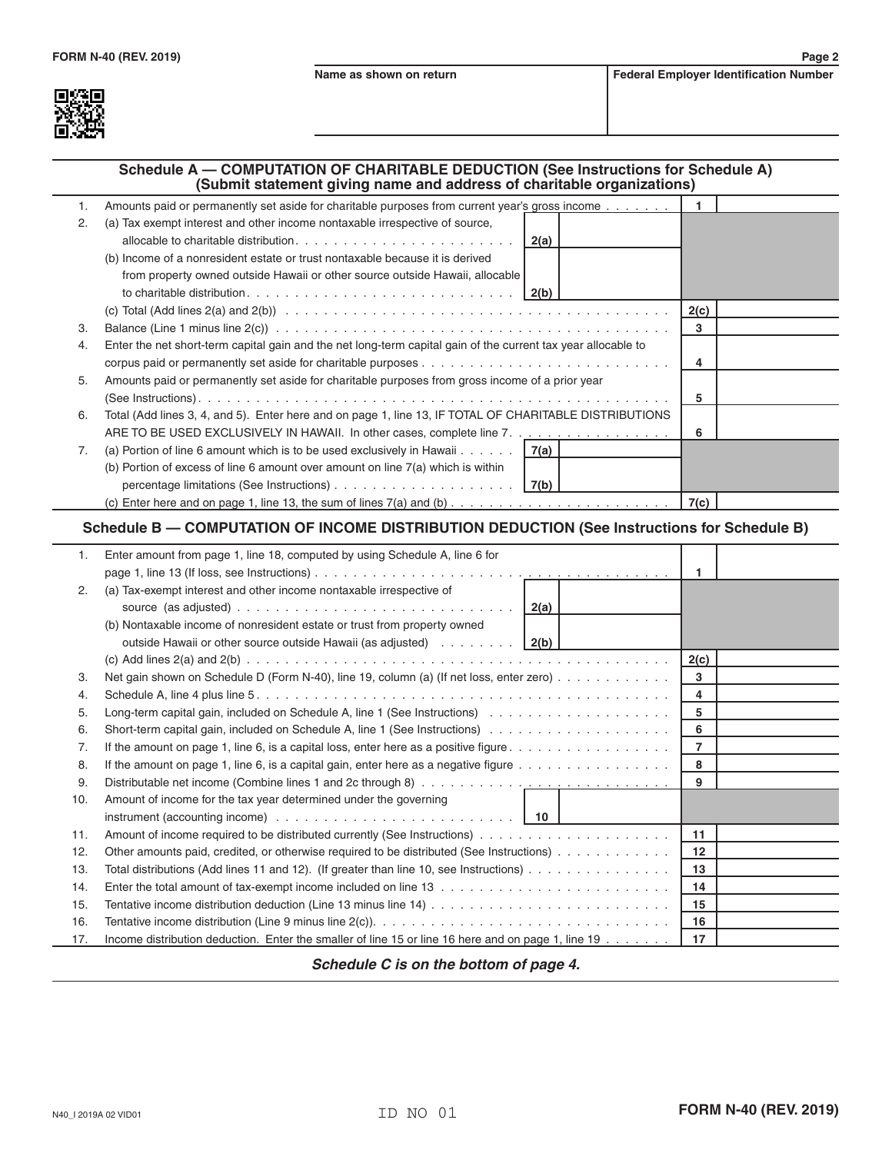

## **Schedule A — COMPUTATION OF CHARITABLE DEDUCTION (See Instructions for Schedule A) (Submit statement giving name and address of charitable organizations)**

| 1. | Amounts paid or permanently set aside for charitable purposes from current year's gross income                                                           |      |  |
|----|----------------------------------------------------------------------------------------------------------------------------------------------------------|------|--|
| 2. | (a) Tax exempt interest and other income nontaxable irrespective of source,                                                                              |      |  |
|    |                                                                                                                                                          |      |  |
|    | (b) Income of a nonresident estate or trust nontaxable because it is derived                                                                             |      |  |
|    | from property owned outside Hawaii or other source outside Hawaii, allocable                                                                             |      |  |
|    |                                                                                                                                                          |      |  |
|    |                                                                                                                                                          | 2(c) |  |
| 3. | Balance (Line 1 minus line $2(c)$ ) $\ldots$ $\ldots$ $\ldots$ $\ldots$ $\ldots$ $\ldots$ $\ldots$ $\ldots$ $\ldots$ $\ldots$ $\ldots$ $\ldots$ $\ldots$ | 3    |  |
| 4. | Enter the net short-term capital gain and the net long-term capital gain of the current tax year allocable to                                            |      |  |
|    |                                                                                                                                                          | 4    |  |
| 5. | Amounts paid or permanently set aside for charitable purposes from gross income of a prior year                                                          |      |  |
|    |                                                                                                                                                          | 5    |  |
| 6. | Total (Add lines 3, 4, and 5). Enter here and on page 1, line 13, IF TOTAL OF CHARITABLE DISTRIBUTIONS                                                   |      |  |
|    | ARE TO BE USED EXCLUSIVELY IN HAWAII. In other cases, complete line 7.                                                                                   | 6    |  |
| 7. | (a) Portion of line 6 amount which is to be used exclusively in Hawaii $\dots$ $\ldots$   7(a)                                                           |      |  |
|    | (b) Portion of excess of line 6 amount over amount on line $7(a)$ which is within                                                                        |      |  |
|    |                                                                                                                                                          |      |  |
|    |                                                                                                                                                          | 7(c) |  |

## **Schedule B — COMPUTATION OF INCOME DISTRIBUTION DEDUCTION (See Instructions for Schedule B)**

| 1.  | Enter amount from page 1, line 18, computed by using Schedule A, line 6 for                                               |                 |  |
|-----|---------------------------------------------------------------------------------------------------------------------------|-----------------|--|
|     |                                                                                                                           | 1               |  |
| 2.  | (a) Tax-exempt interest and other income nontaxable irrespective of                                                       |                 |  |
|     |                                                                                                                           |                 |  |
|     | (b) Nontaxable income of nonresident estate or trust from property owned                                                  |                 |  |
|     | outside Hawaii or other source outside Hawaii (as adjusted)   2(b)                                                        |                 |  |
|     |                                                                                                                           | 2(c)            |  |
| 3.  | Net gain shown on Schedule D (Form N-40), line 19, column (a) (If net loss, enter zero)                                   | 3               |  |
| 4.  |                                                                                                                           | 4               |  |
| 5.  | Long-term capital gain, included on Schedule A, line 1 (See Instructions) $\ldots \ldots \ldots \ldots \ldots \ldots$     | 5               |  |
| 6.  |                                                                                                                           | 6               |  |
| 7.  | If the amount on page 1, line 6, is a capital loss, enter here as a positive figure $\dots \dots \dots \dots \dots \dots$ | $\overline{7}$  |  |
| 8.  | If the amount on page 1, line 6, is a capital gain, enter here as a negative figure $\dots \dots \dots \dots \dots \dots$ | 8               |  |
| 9.  |                                                                                                                           | 9               |  |
| 10. | Amount of income for the tax year determined under the governing                                                          |                 |  |
|     | instrument (accounting income) $\ldots \ldots \ldots \ldots \ldots \ldots \ldots \ldots \ldots$   10                      |                 |  |
| 11. |                                                                                                                           | 11              |  |
| 12. | Other amounts paid, credited, or otherwise required to be distributed (See Instructions)                                  | 12 <sup>2</sup> |  |
| 13. | Total distributions (Add lines 11 and 12). (If greater than line 10, see Instructions) $\dots \dots \dots \dots \dots$    | 13              |  |
| 14. |                                                                                                                           | 14              |  |
| 15. |                                                                                                                           | 15              |  |
| 16. |                                                                                                                           | 16              |  |
| 17. | Income distribution deduction. Enter the smaller of line 15 or line 16 here and on page 1, line 19                        | 17              |  |

*Schedule C is on the bottom of page 4.*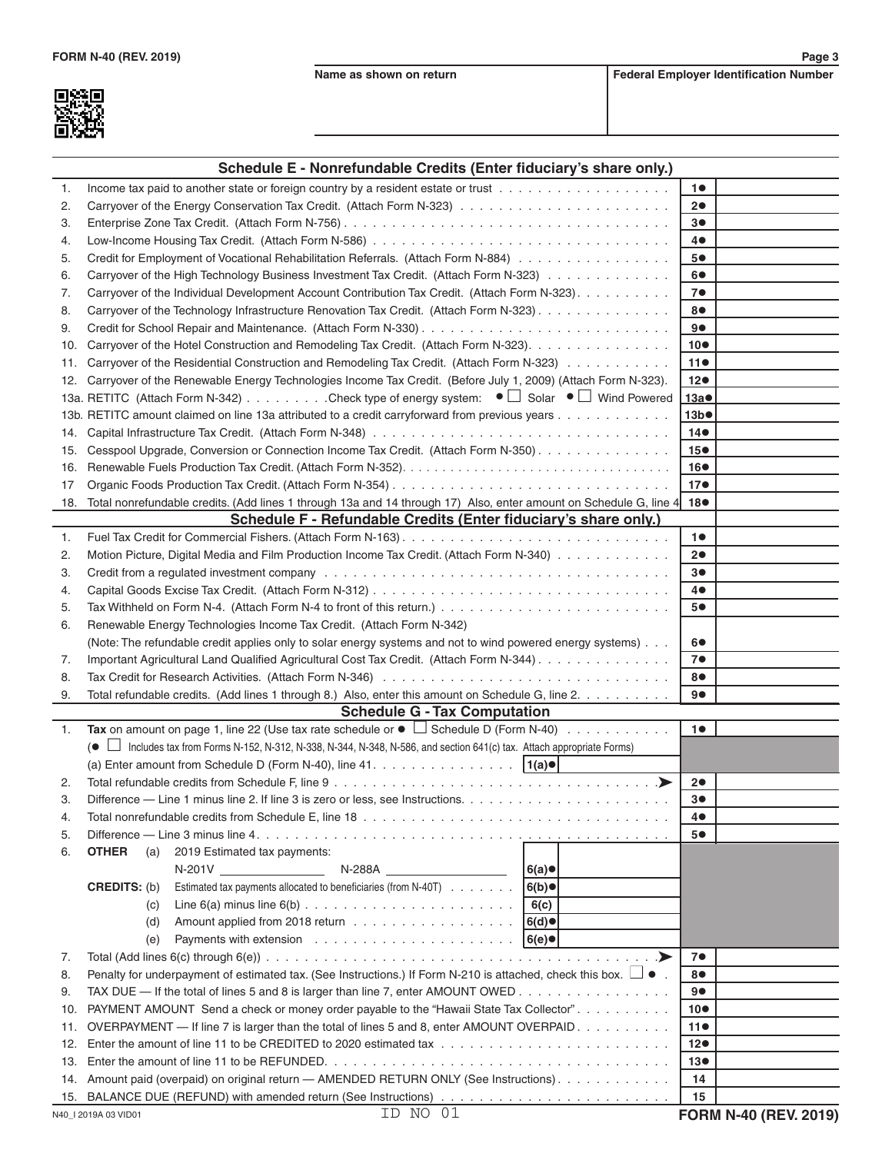

|     | Schedule E - Nonrefundable Credits (Enter fiduciary's share only.)                                                         |                 |
|-----|----------------------------------------------------------------------------------------------------------------------------|-----------------|
| 1.  |                                                                                                                            | 10              |
| 2.  |                                                                                                                            | 20              |
| 3.  |                                                                                                                            | 3●              |
| 4.  |                                                                                                                            | 4●              |
| 5.  | Credit for Employment of Vocational Rehabilitation Referrals. (Attach Form N-884)                                          | 5●              |
| 6.  | Carryover of the High Technology Business Investment Tax Credit. (Attach Form N-323)                                       | 6●              |
| 7.  | Carryover of the Individual Development Account Contribution Tax Credit. (Attach Form N-323).                              | 7 <sup>o</sup>  |
| 8.  | Carryover of the Technology Infrastructure Renovation Tax Credit. (Attach Form N-323)                                      | 8●              |
| 9.  |                                                                                                                            | 9●              |
| 10. | Carryover of the Hotel Construction and Remodeling Tax Credit. (Attach Form N-323).                                        | 10 <sup>o</sup> |
| 11. | Carryover of the Residential Construction and Remodeling Tax Credit. (Attach Form N-323)                                   | 110             |
| 12. | Carryover of the Renewable Energy Technologies Income Tax Credit. (Before July 1, 2009) (Attach Form N-323).               | $12\bullet$     |
|     | 13a. RETITC (Attach Form N-342) Check type of energy system: $\bullet \Box$ Solar $\bullet \Box$ Wind Powered              | 13a             |
|     | 13b. RETITC amount claimed on line 13a attributed to a credit carryforward from previous years                             | 13b             |
| 14. |                                                                                                                            | $14\bullet$     |
| 15. | Cesspool Upgrade, Conversion or Connection Income Tax Credit. (Attach Form N-350)                                          | 15 <sup>o</sup> |
| 16. |                                                                                                                            | 16●             |
| 17  |                                                                                                                            | 17 <sub>•</sub> |
| 18. | Total nonrefundable credits. (Add lines 1 through 13a and 14 through 17) Also, enter amount on Schedule G, line 4          | 18●             |
|     | Schedule F - Refundable Credits (Enter fiduciary's share only.)                                                            |                 |
| 1.  |                                                                                                                            | 10              |
| 2.  | Motion Picture, Digital Media and Film Production Income Tax Credit. (Attach Form N-340)                                   | 20              |
| З.  |                                                                                                                            | 3●              |
| 4.  |                                                                                                                            | 4●              |
| 5.  |                                                                                                                            | 5●              |
| 6.  | Renewable Energy Technologies Income Tax Credit. (Attach Form N-342)                                                       |                 |
|     | (Note: The refundable credit applies only to solar energy systems and not to wind powered energy systems)                  | 6●              |
| 7.  | Important Agricultural Land Qualified Agricultural Cost Tax Credit. (Attach Form N-344)                                    | 7 <sup>o</sup>  |
| 8.  |                                                                                                                            | 8●              |
| 9.  | Total refundable credits. (Add lines 1 through 8.) Also, enter this amount on Schedule G, line 2.                          | 9●              |
|     | <b>Schedule G - Tax Computation</b>                                                                                        |                 |
| 1.  | Tax on amount on page 1, line 22 (Use tax rate schedule or $\bullet$ $\Box$ Schedule D (Form N-40)                         | 10              |
|     | (● □ Includes tax from Forms N-152, N-312, N-338, N-344, N-348, N-586, and section 641(c) tax. Attach appropriate Forms)   |                 |
|     | (a) Enter amount from Schedule D (Form N-40), line $41.$<br> 1(a)                                                          |                 |
| 2.  | .≻                                                                                                                         | 20              |
| З.  | Difference — Line 1 minus line 2. If line 3 is zero or less, see Instructions.                                             | 30              |
| 4.  |                                                                                                                            | 40              |
| 5.  |                                                                                                                            | 5●              |
| 6.  | 2019 Estimated tax payments:<br><b>OTHER</b><br>(a)                                                                        |                 |
|     | $N-201V$<br>N-288A<br>6(a)<br><u> 1989 - John Stone, amerikansk politiker</u>                                              |                 |
|     | Estimated tax payments allocated to beneficiaries (from N-40T)<br>6(b)<br><b>CREDITS: (b)</b>                              |                 |
|     | 6(c)<br>(c)                                                                                                                |                 |
|     | 6(d)<br>(d)                                                                                                                |                 |
|     | (e)<br> 6(e)                                                                                                               |                 |
| 7.  | .➤                                                                                                                         | 7●              |
| 8.  | Penalty for underpayment of estimated tax. (See Instructions.) If Form N-210 is attached, check this box. $\Box \bullet$ . | 8●              |
| 9.  | TAX DUE — If the total of lines 5 and 8 is larger than line 7, enter AMOUNT OWED                                           | 90              |
| 10. | PAYMENT AMOUNT Send a check or money order payable to the "Hawaii State Tax Collector".                                    | 10 <sup>o</sup> |
| 11. | OVERPAYMENT — If line 7 is larger than the total of lines 5 and 8, enter AMOUNT OVERPAID.                                  | 110             |
| 12. |                                                                                                                            | 12 <sub>o</sub> |
| 13. |                                                                                                                            | 13 <sub>•</sub> |
| 14. | Amount paid (overpaid) on original return - AMENDED RETURN ONLY (See Instructions).                                        | 14              |
|     |                                                                                                                            | 15              |